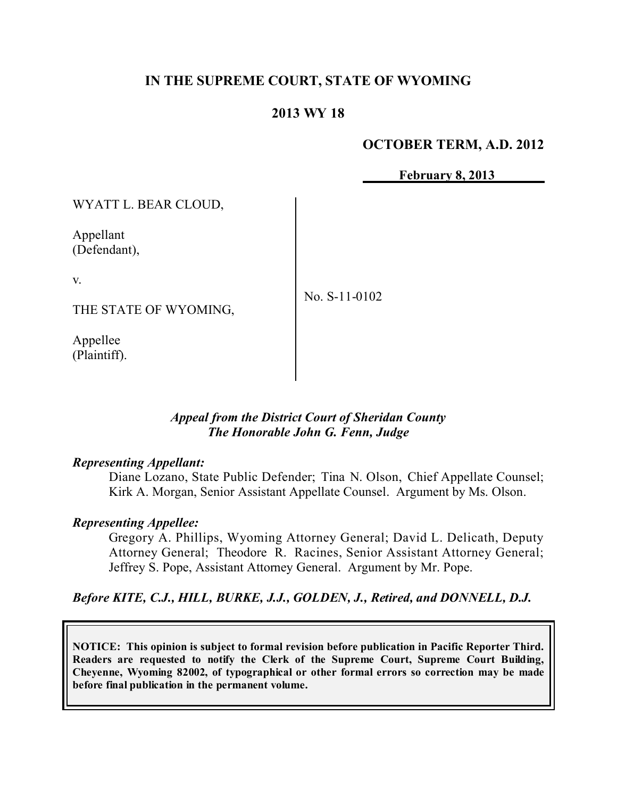#### **IN THE SUPREME COURT, STATE OF WYOMING**

### **2013 WY 18**

#### **OCTOBER TERM, A.D. 2012**

**February 8, 2013**

WYATT L. BEAR CLOUD, Appellant (Defendant), v. THE STATE OF WYOMING, Appellee No. S-11-0102

#### *Appeal from the District Court of Sheridan County The Honorable John G. Fenn, Judge*

#### *Representing Appellant:*

(Plaintiff).

Diane Lozano, State Public Defender; Tina N. Olson, Chief Appellate Counsel; Kirk A. Morgan, Senior Assistant Appellate Counsel. Argument by Ms. Olson.

#### *Representing Appellee:*

Gregory A. Phillips, Wyoming Attorney General; David L. Delicath, Deputy Attorney General; Theodore R. Racines, Senior Assistant Attorney General; Jeffrey S. Pope, Assistant Attorney General. Argument by Mr. Pope.

*Before KITE, C.J., HILL, BURKE, J.J., GOLDEN, J., Retired, and DONNELL, D.J.*

**NOTICE: This opinion is subject to formal revision before publication in Pacific Reporter Third. Readers are requested to notify the Clerk of the Supreme Court, Supreme Court Building, Cheyenne, Wyoming 82002, of typographical or other formal errors so correction may be made before final publication in the permanent volume.**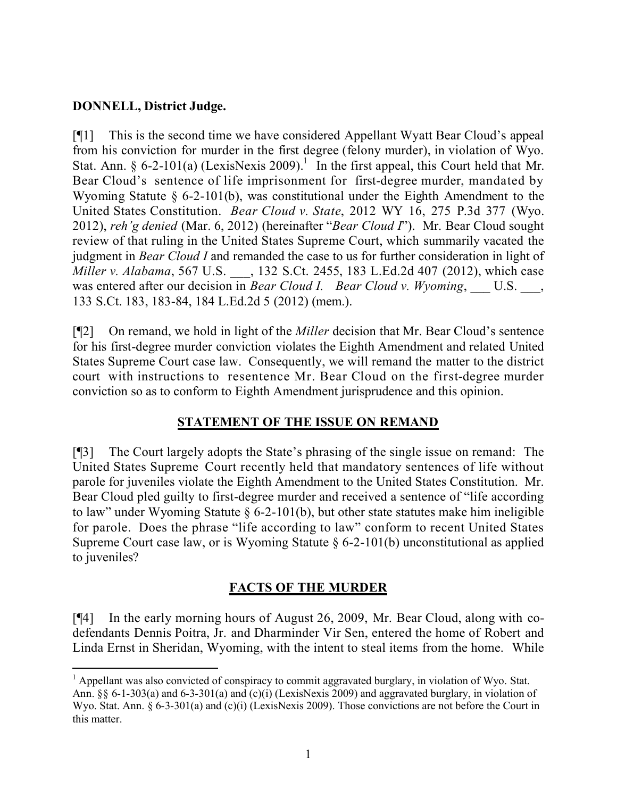#### **DONNELL, District Judge.**

 $\overline{a}$ 

[¶1] This is the second time we have considered Appellant Wyatt Bear Cloud's appeal from his conviction for murder in the first degree (felony murder), in violation of Wyo. Stat. Ann. § 6-2-101(a) (LexisNexis 2009).<sup>1</sup> In the first appeal, this Court held that Mr. Bear Cloud's sentence of life imprisonment for first-degree murder, mandated by Wyoming Statute § 6-2-101(b), was constitutional under the Eighth Amendment to the United States Constitution. *Bear Cloud v. State*, 2012 WY 16, 275 P.3d 377 (Wyo. 2012), *reh'g denied* (Mar. 6, 2012) (hereinafter "*Bear Cloud I*"). Mr. Bear Cloud sought review of that ruling in the United States Supreme Court, which summarily vacated the judgment in *Bear Cloud I* and remanded the case to us for further consideration in light of *Miller v. Alabama*, 567 U.S. \_\_\_, 132 S.Ct. 2455, 183 L.Ed.2d 407 (2012), which case was entered after our decision in *Bear Cloud I. Bear Cloud v. Wyoming*, U.S.  $\phantom{0}$ , 133 S.Ct. 183, 183-84, 184 L.Ed.2d 5 (2012) (mem.).

[¶2] On remand, we hold in light of the *Miller* decision that Mr. Bear Cloud's sentence for his first-degree murder conviction violates the Eighth Amendment and related United States Supreme Court case law. Consequently, we will remand the matter to the district court with instructions to resentence Mr. Bear Cloud on the first-degree murder conviction so as to conform to Eighth Amendment jurisprudence and this opinion.

## **STATEMENT OF THE ISSUE ON REMAND**

[¶3] The Court largely adopts the State's phrasing of the single issue on remand: The United States Supreme Court recently held that mandatory sentences of life without parole for juveniles violate the Eighth Amendment to the United States Constitution. Mr. Bear Cloud pled guilty to first-degree murder and received a sentence of "life according to law" under Wyoming Statute § 6-2-101(b), but other state statutes make him ineligible for parole. Does the phrase "life according to law" conform to recent United States Supreme Court case law, or is Wyoming Statute § 6-2-101(b) unconstitutional as applied to juveniles?

## **FACTS OF THE MURDER**

[¶4] In the early morning hours of August 26, 2009, Mr. Bear Cloud, along with codefendants Dennis Poitra, Jr. and Dharminder Vir Sen, entered the home of Robert and Linda Ernst in Sheridan, Wyoming, with the intent to steal items from the home. While

 $<sup>1</sup>$  Appellant was also convicted of conspiracy to commit aggravated burglary, in violation of Wyo. Stat.</sup> Ann. §§ 6-1-303(a) and 6-3-301(a) and (c)(i) (LexisNexis 2009) and aggravated burglary, in violation of Wyo. Stat. Ann. § 6-3-301(a) and (c)(i) (LexisNexis 2009). Those convictions are not before the Court in this matter.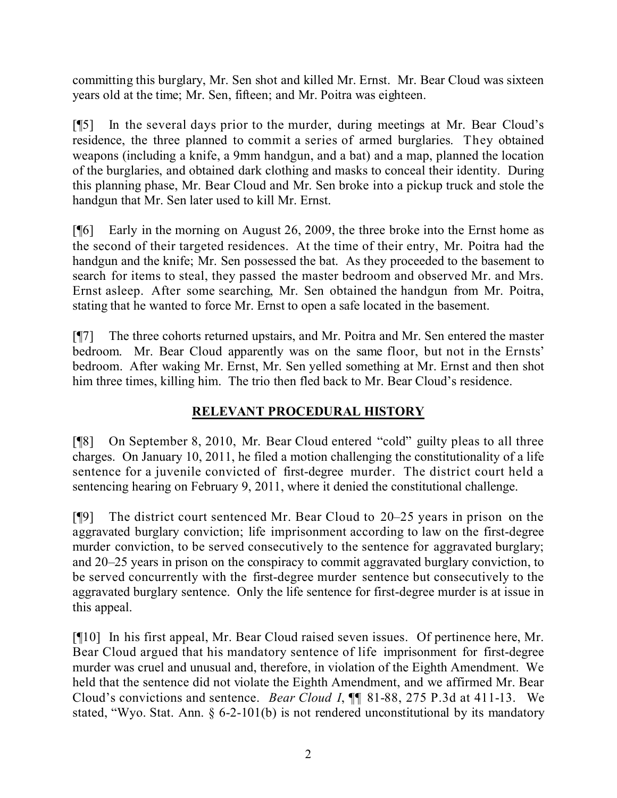committing this burglary, Mr. Sen shot and killed Mr. Ernst. Mr. Bear Cloud was sixteen years old at the time; Mr. Sen, fifteen; and Mr. Poitra was eighteen.

[¶5] In the several days prior to the murder, during meetings at Mr. Bear Cloud's residence, the three planned to commit a series of armed burglaries. They obtained weapons (including a knife, a 9mm handgun, and a bat) and a map, planned the location of the burglaries, and obtained dark clothing and masks to conceal their identity. During this planning phase, Mr. Bear Cloud and Mr. Sen broke into a pickup truck and stole the handgun that Mr. Sen later used to kill Mr. Ernst.

[¶6] Early in the morning on August 26, 2009, the three broke into the Ernst home as the second of their targeted residences. At the time of their entry, Mr. Poitra had the handgun and the knife; Mr. Sen possessed the bat. As they proceeded to the basement to search for items to steal, they passed the master bedroom and observed Mr. and Mrs. Ernst asleep. After some searching, Mr. Sen obtained the handgun from Mr. Poitra, stating that he wanted to force Mr. Ernst to open a safe located in the basement.

[¶7] The three cohorts returned upstairs, and Mr. Poitra and Mr. Sen entered the master bedroom. Mr. Bear Cloud apparently was on the same floor, but not in the Ernsts' bedroom. After waking Mr. Ernst, Mr. Sen yelled something at Mr. Ernst and then shot him three times, killing him. The trio then fled back to Mr. Bear Cloud's residence.

# **RELEVANT PROCEDURAL HISTORY**

[¶8] On September 8, 2010, Mr. Bear Cloud entered "cold" guilty pleas to all three charges. On January 10, 2011, he filed a motion challenging the constitutionality of a life sentence for a juvenile convicted of first-degree murder. The district court held a sentencing hearing on February 9, 2011, where it denied the constitutional challenge.

[¶9] The district court sentenced Mr. Bear Cloud to 20–25 years in prison on the aggravated burglary conviction; life imprisonment according to law on the first-degree murder conviction, to be served consecutively to the sentence for aggravated burglary; and 20–25 years in prison on the conspiracy to commit aggravated burglary conviction, to be served concurrently with the first-degree murder sentence but consecutively to the aggravated burglary sentence. Only the life sentence for first-degree murder is at issue in this appeal.

[¶10] In his first appeal, Mr. Bear Cloud raised seven issues. Of pertinence here, Mr. Bear Cloud argued that his mandatory sentence of life imprisonment for first-degree murder was cruel and unusual and, therefore, in violation of the Eighth Amendment. We held that the sentence did not violate the Eighth Amendment, and we affirmed Mr. Bear Cloud's convictions and sentence. *Bear Cloud I*, ¶¶ 81-88, 275 P.3d at 411-13. We stated, "Wyo. Stat. Ann. § 6-2-101(b) is not rendered unconstitutional by its mandatory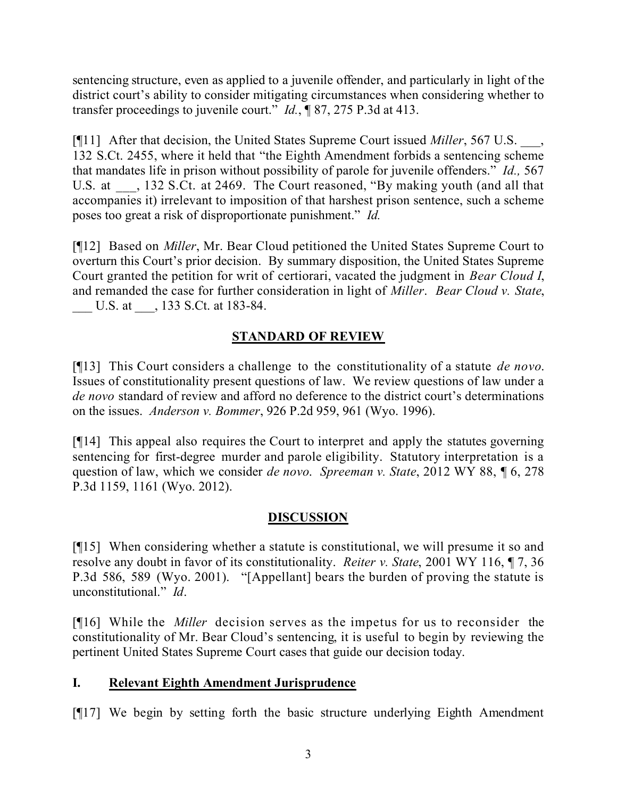sentencing structure, even as applied to a juvenile offender, and particularly in light of the district court's ability to consider mitigating circumstances when considering whether to transfer proceedings to juvenile court." *Id.*, ¶ 87, 275 P.3d at 413.

[¶11] After that decision, the United States Supreme Court issued *Miller*, 567 U.S. \_\_\_, 132 S.Ct. 2455, where it held that "the Eighth Amendment forbids a sentencing scheme that mandates life in prison without possibility of parole for juvenile offenders." *Id.,* 567 U.S. at  $\qquad$ , 132 S.Ct. at 2469. The Court reasoned, "By making youth (and all that accompanies it) irrelevant to imposition of that harshest prison sentence, such a scheme poses too great a risk of disproportionate punishment." *Id.*

[¶12] Based on *Miller*, Mr. Bear Cloud petitioned the United States Supreme Court to overturn this Court's prior decision. By summary disposition, the United States Supreme Court granted the petition for writ of certiorari, vacated the judgment in *Bear Cloud I*, and remanded the case for further consideration in light of *Miller*. *Bear Cloud v. State*, U.S. at  $\qquad$ , 133 S.Ct. at 183-84.

# **STANDARD OF REVIEW**

[¶13] This Court considers a challenge to the constitutionality of a statute *de novo*. Issues of constitutionality present questions of law. We review questions of law under a *de novo* standard of review and afford no deference to the district court's determinations on the issues. *Anderson v. Bommer*, 926 P.2d 959, 961 (Wyo. 1996).

[¶14] This appeal also requires the Court to interpret and apply the statutes governing sentencing for first-degree murder and parole eligibility. Statutory interpretation is a question of law, which we consider *de novo*. *Spreeman v. State*, 2012 WY 88, ¶ 6, 278 P.3d 1159, 1161 (Wyo. 2012).

## **DISCUSSION**

[¶15] When considering whether a statute is constitutional, we will presume it so and resolve any doubt in favor of its constitutionality. *Reiter v. State*, 2001 WY 116, ¶ 7, 36 P.3d 586, 589 (Wyo. 2001). "[Appellant] bears the burden of proving the statute is unconstitutional." *Id*.

[¶16] While the *Miller* decision serves as the impetus for us to reconsider the constitutionality of Mr. Bear Cloud's sentencing, it is useful to begin by reviewing the pertinent United States Supreme Court cases that guide our decision today.

## **I. Relevant Eighth Amendment Jurisprudence**

[¶17] We begin by setting forth the basic structure underlying Eighth Amendment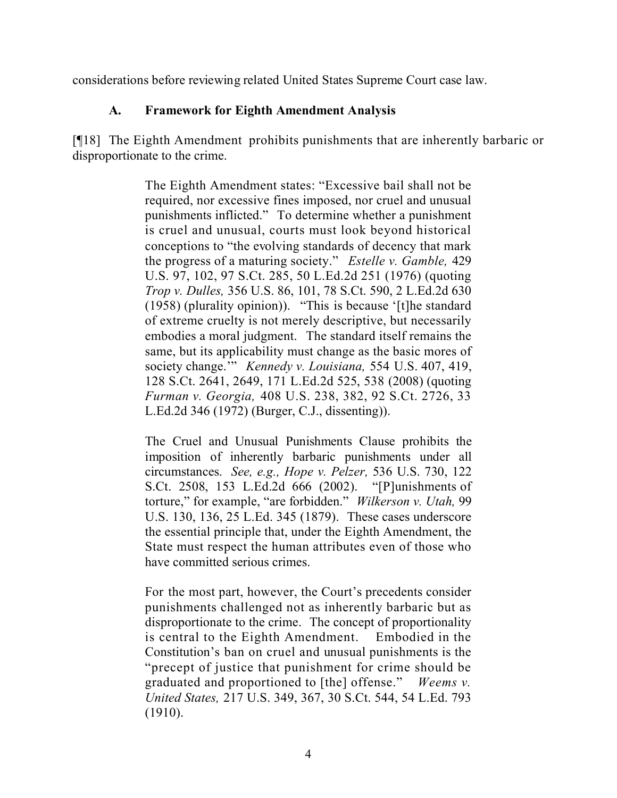considerations before reviewing related United States Supreme Court case law.

#### **A. Framework for Eighth Amendment Analysis**

[¶18] The Eighth Amendment prohibits punishments that are inherently barbaric or disproportionate to the crime.

> The Eighth Amendment states: "Excessive bail shall not be required, nor excessive fines imposed, nor cruel and unusual punishments inflicted." To determine whether a punishment is cruel and unusual, courts must look beyond historical conceptions to "the evolving standards of decency that mark the progress of a maturing society." *Estelle v. Gamble,* 429 U.S. 97, 102, 97 S.Ct. 285, 50 L.Ed.2d 251 (1976) (quoting *Trop v. Dulles,* 356 U.S. 86, 101, 78 S.Ct. 590, 2 L.Ed.2d 630 (1958) (plurality opinion)). "This is because '[t]he standard of extreme cruelty is not merely descriptive, but necessarily embodies a moral judgment. The standard itself remains the same, but its applicability must change as the basic mores of society change.'" *Kennedy v. Louisiana,* 554 U.S. 407, 419, 128 S.Ct. 2641, 2649, 171 L.Ed.2d 525, 538 (2008) (quoting *Furman v. Georgia,* 408 U.S. 238, 382, 92 S.Ct. 2726, 33 L.Ed.2d 346 (1972) (Burger, C.J., dissenting)).

> The Cruel and Unusual Punishments Clause prohibits the imposition of inherently barbaric punishments under all circumstances. *See, e.g., Hope v. Pelzer,* 536 U.S. 730, 122 S.Ct. 2508, 153 L.Ed.2d 666 (2002). "[P]unishments of torture," for example, "are forbidden." *Wilkerson v. Utah,* 99 U.S. 130, 136, 25 L.Ed. 345 (1879). These cases underscore the essential principle that, under the Eighth Amendment, the State must respect the human attributes even of those who have committed serious crimes.

> For the most part, however, the Court's precedents consider punishments challenged not as inherently barbaric but as disproportionate to the crime. The concept of proportionality is central to the Eighth Amendment. Embodied in the Constitution's ban on cruel and unusual punishments is the "precept of justice that punishment for crime should be graduated and proportioned to [the] offense." *Weems v. United States,* 217 U.S. 349, 367, 30 S.Ct. 544, 54 L.Ed. 793 (1910).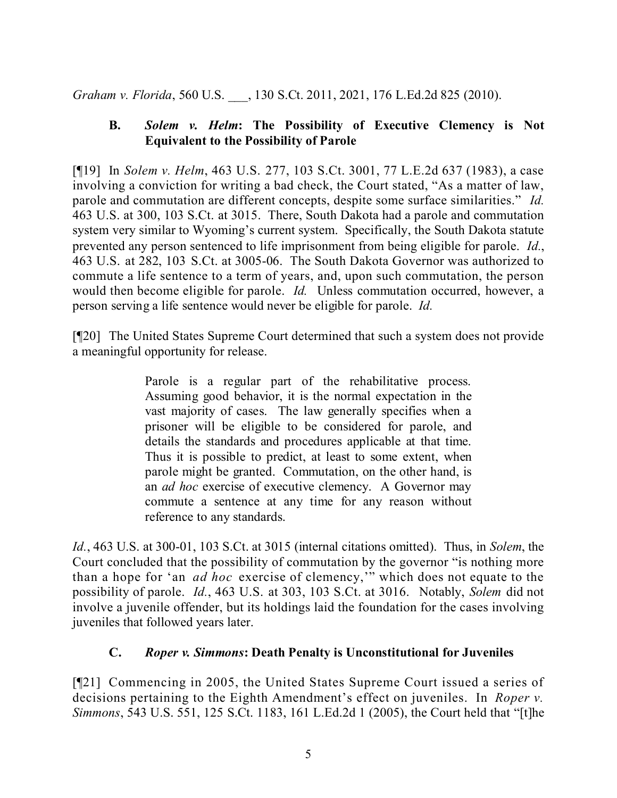*Graham v. Florida*, 560 U.S. \_\_\_, 130 S.Ct. 2011, 2021, 176 L.Ed.2d 825 (2010).

## **B.** *Solem v. Helm***: The Possibility of Executive Clemency is Not Equivalent to the Possibility of Parole**

[¶19] In *Solem v. Helm*, 463 U.S. 277, 103 S.Ct. 3001, 77 L.E.2d 637 (1983), a case involving a conviction for writing a bad check, the Court stated, "As a matter of law, parole and commutation are different concepts, despite some surface similarities." *Id.* 463 U.S. at 300, 103 S.Ct. at 3015. There, South Dakota had a parole and commutation system very similar to Wyoming's current system. Specifically, the South Dakota statute prevented any person sentenced to life imprisonment from being eligible for parole. *Id.*, 463 U.S. at 282, 103 S.Ct. at 3005-06. The South Dakota Governor was authorized to commute a life sentence to a term of years, and, upon such commutation, the person would then become eligible for parole. *Id.* Unless commutation occurred, however, a person serving a life sentence would never be eligible for parole. *Id.*

[¶20] The United States Supreme Court determined that such a system does not provide a meaningful opportunity for release.

> Parole is a regular part of the rehabilitative process. Assuming good behavior, it is the normal expectation in the vast majority of cases. The law generally specifies when a prisoner will be eligible to be considered for parole, and details the standards and procedures applicable at that time. Thus it is possible to predict, at least to some extent, when parole might be granted. Commutation, on the other hand, is an *ad hoc* exercise of executive clemency. A Governor may commute a sentence at any time for any reason without reference to any standards.

*Id.*, 463 U.S. at 300-01, 103 S.Ct. at 3015 (internal citations omitted). Thus, in *Solem*, the Court concluded that the possibility of commutation by the governor "is nothing more than a hope for 'an *ad hoc* exercise of clemency,'" which does not equate to the possibility of parole. *Id.*, 463 U.S. at 303, 103 S.Ct. at 3016. Notably, *Solem* did not involve a juvenile offender, but its holdings laid the foundation for the cases involving juveniles that followed years later.

# **C.** *Roper v. Simmons***: Death Penalty is Unconstitutional for Juveniles**

[¶21] Commencing in 2005, the United States Supreme Court issued a series of decisions pertaining to the Eighth Amendment's effect on juveniles. In *Roper v. Simmons*, 543 U.S. 551, 125 S.Ct. 1183, 161 L.Ed.2d 1 (2005), the Court held that "[t]he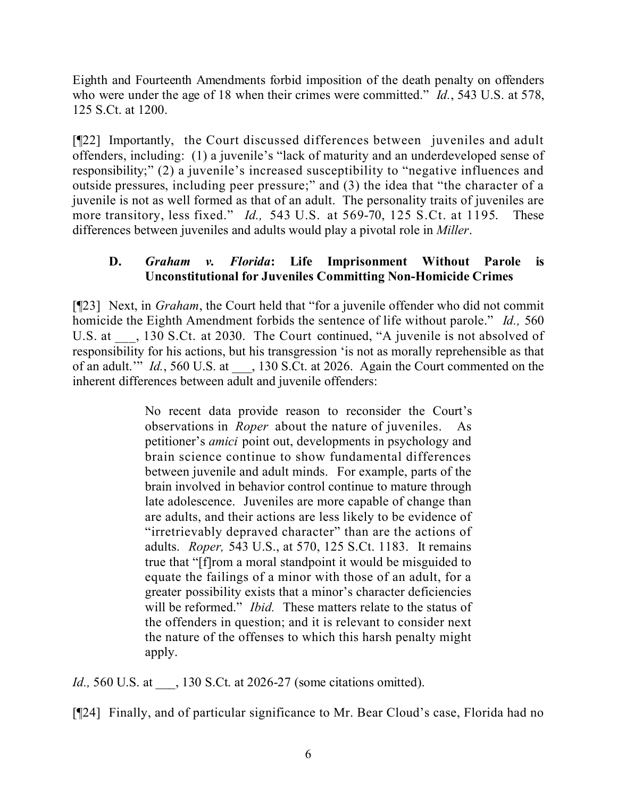Eighth and Fourteenth Amendments forbid imposition of the death penalty on offenders who were under the age of 18 when their crimes were committed." *Id.*, 543 U.S. at 578, 125 S.Ct. at 1200.

[¶22] Importantly, the Court discussed differences between juveniles and adult offenders, including: (1) a juvenile's "lack of maturity and an underdeveloped sense of responsibility;" (2) a juvenile's increased susceptibility to "negative influences and outside pressures, including peer pressure;" and (3) the idea that "the character of a juvenile is not as well formed as that of an adult. The personality traits of juveniles are more transitory, less fixed." *Id.,* 543 U.S. at 569-70, 125 S.Ct. at 1195. These differences between juveniles and adults would play a pivotal role in *Miller*.

## **D.** *Graham v. Florida***: Life Imprisonment Without Parole is Unconstitutional for Juveniles Committing Non-Homicide Crimes**

[¶23] Next, in *Graham*, the Court held that "for a juvenile offender who did not commit homicide the Eighth Amendment forbids the sentence of life without parole." *Id.,* 560 U.S. at  $\qquad$ , 130 S.Ct. at 2030. The Court continued, "A juvenile is not absolved of responsibility for his actions, but his transgression 'is not as morally reprehensible as that of an adult." *Id.*, 560 U.S. at  $\qquad$ , 130 S.Ct. at 2026. Again the Court commented on the inherent differences between adult and juvenile offenders:

> No recent data provide reason to reconsider the Court's observations in *Roper* about the nature of juveniles. As petitioner's *amici* point out, developments in psychology and brain science continue to show fundamental differences between juvenile and adult minds. For example, parts of the brain involved in behavior control continue to mature through late adolescence. Juveniles are more capable of change than are adults, and their actions are less likely to be evidence of "irretrievably depraved character" than are the actions of adults. *Roper,* 543 U.S., at 570, 125 S.Ct. 1183. It remains true that "[f]rom a moral standpoint it would be misguided to equate the failings of a minor with those of an adult, for a greater possibility exists that a minor's character deficiencies will be reformed." *Ibid.* These matters relate to the status of the offenders in question; and it is relevant to consider next the nature of the offenses to which this harsh penalty might apply.

*Id.*, 560 U.S. at \_\_\_, 130 S.Ct. at 2026-27 (some citations omitted).

[¶24] Finally, and of particular significance to Mr. Bear Cloud's case, Florida had no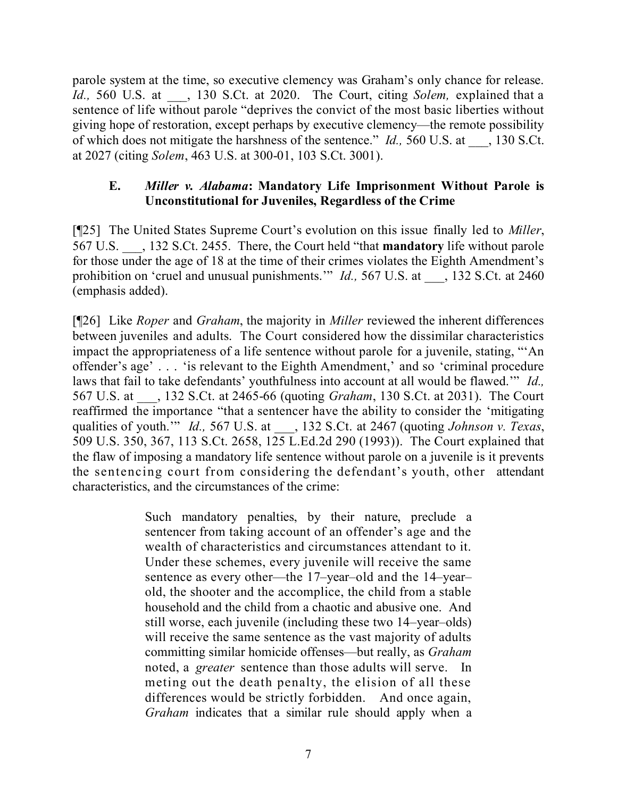parole system at the time, so executive clemency was Graham's only chance for release. *Id.*, 560 U.S. at  $\qquad$ , 130 S.Ct. at 2020. The Court, citing *Solem*, explained that a sentence of life without parole "deprives the convict of the most basic liberties without giving hope of restoration, except perhaps by executive clemency—the remote possibility of which does not mitigate the harshness of the sentence." *Id.,* 560 U.S. at \_\_\_, 130 S.Ct. at 2027 (citing *Solem*, 463 U.S. at 300-01, 103 S.Ct. 3001).

#### **E.** *Miller v. Alabama***: Mandatory Life Imprisonment Without Parole is Unconstitutional for Juveniles, Regardless of the Crime**

[¶25] The United States Supreme Court's evolution on this issue finally led to *Miller*, 567 U.S. \_\_\_, 132 S.Ct. 2455. There, the Court held "that **mandatory** life without parole for those under the age of 18 at the time of their crimes violates the Eighth Amendment's prohibition on 'cruel and unusual punishments.'" *Id.*, 567 U.S. at 132 S.Ct. at 2460 (emphasis added).

[¶26] Like *Roper* and *Graham*, the majority in *Miller* reviewed the inherent differences between juveniles and adults. The Court considered how the dissimilar characteristics impact the appropriateness of a life sentence without parole for a juvenile, stating, "'An offender's age' . . . 'is relevant to the Eighth Amendment,' and so 'criminal procedure laws that fail to take defendants' youthfulness into account at all would be flawed.'" *Id.,* 567 U.S. at \_\_\_, 132 S.Ct. at 2465-66 (quoting *Graham*, 130 S.Ct. at 2031). The Court reaffirmed the importance "that a sentencer have the ability to consider the 'mitigating qualities of youth.'" *Id.,* 567 U.S. at \_\_\_, 132 S.Ct. at 2467 (quoting *Johnson v. Texas*, 509 U.S. 350, 367, 113 S.Ct. 2658, 125 L.Ed.2d 290 (1993)). The Court explained that the flaw of imposing a mandatory life sentence without parole on a juvenile is it prevents the sentencing court from considering the defendant's youth, other attendant characteristics, and the circumstances of the crime:

> Such mandatory penalties, by their nature, preclude a sentencer from taking account of an offender's age and the wealth of characteristics and circumstances attendant to it. Under these schemes, every juvenile will receive the same sentence as every other—the 17–year–old and the 14–year– old, the shooter and the accomplice, the child from a stable household and the child from a chaotic and abusive one. And still worse, each juvenile (including these two 14–year–olds) will receive the same sentence as the vast majority of adults committing similar homicide offenses—but really, as *Graham* noted, a *greater* sentence than those adults will serve. In meting out the death penalty, the elision of all these differences would be strictly forbidden. And once again, *Graham* indicates that a similar rule should apply when a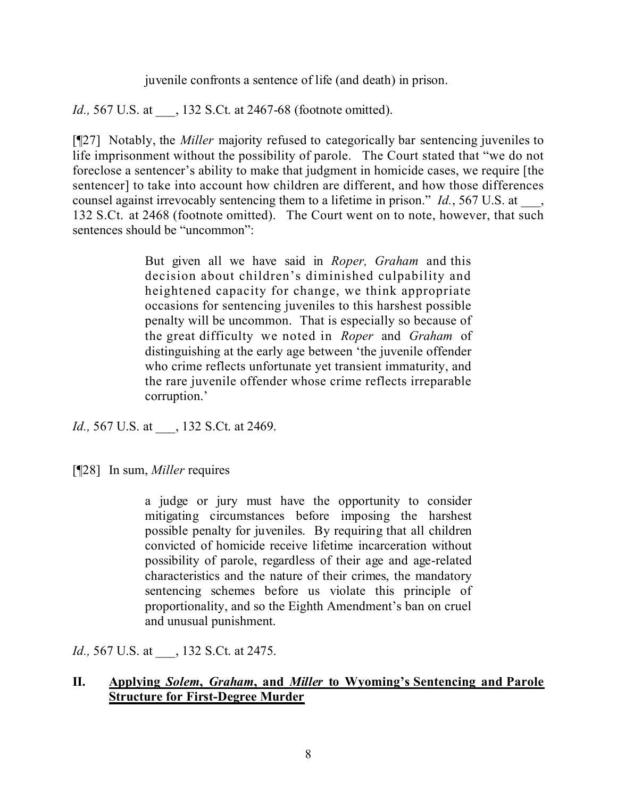juvenile confronts a sentence of life (and death) in prison.

*Id.*, 567 U.S. at  $\qquad$ , 132 S.Ct. at 2467-68 (footnote omitted).

[¶27] Notably, the *Miller* majority refused to categorically bar sentencing juveniles to life imprisonment without the possibility of parole. The Court stated that "we do not foreclose a sentencer's ability to make that judgment in homicide cases, we require [the sentencer] to take into account how children are different, and how those differences counsel against irrevocably sentencing them to a lifetime in prison." *Id.*, 567 U.S. at 132 S.Ct. at 2468 (footnote omitted). The Court went on to note, however, that such sentences should be "uncommon":

> But given all we have said in *Roper, Graham* and this decision about children's diminished culpability and heightened capacity for change, we think appropriate occasions for sentencing juveniles to this harshest possible penalty will be uncommon. That is especially so because of the great difficulty we noted in *Roper* and *Graham* of distinguishing at the early age between 'the juvenile offender who crime reflects unfortunate yet transient immaturity, and the rare juvenile offender whose crime reflects irreparable corruption.'

*Id.*, 567 U.S. at \_\_\_, 132 S.Ct. at 2469.

[¶28] In sum, *Miller* requires

a judge or jury must have the opportunity to consider mitigating circumstances before imposing the harshest possible penalty for juveniles. By requiring that all children convicted of homicide receive lifetime incarceration without possibility of parole, regardless of their age and age-related characteristics and the nature of their crimes, the mandatory sentencing schemes before us violate this principle of proportionality, and so the Eighth Amendment's ban on cruel and unusual punishment.

*Id.*, 567 U.S. at \_\_\_, 132 S.Ct. at 2475.

#### **II. Applying** *Solem***,** *Graham***, and** *Miller* **to Wyoming's Sentencing and Parole Structure for First-Degree Murder**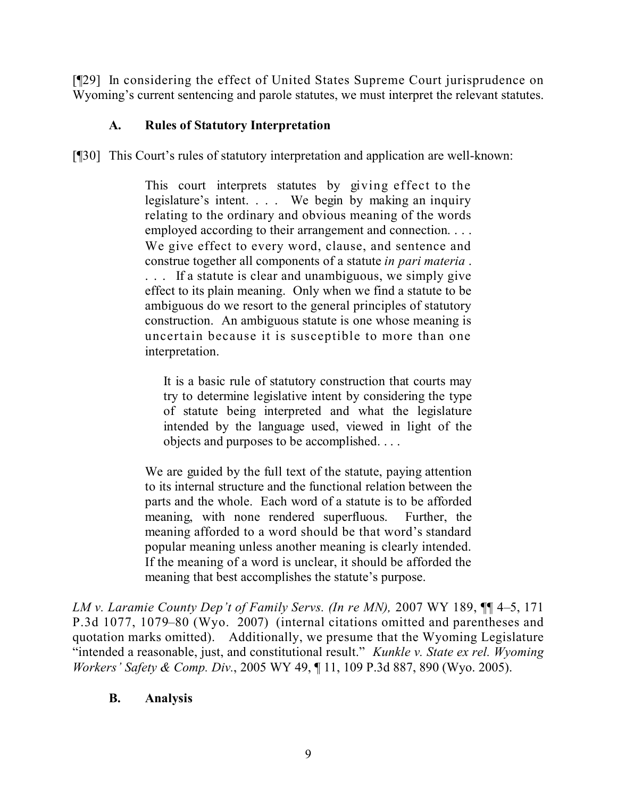[¶29] In considering the effect of United States Supreme Court jurisprudence on Wyoming's current sentencing and parole statutes, we must interpret the relevant statutes.

# **A. Rules of Statutory Interpretation**

[¶30] This Court's rules of statutory interpretation and application are well-known:

This court interprets statutes by giving effect to the legislature's intent. . . . We begin by making an inquiry relating to the ordinary and obvious meaning of the words employed according to their arrangement and connection. . . . We give effect to every word, clause, and sentence and construe together all components of a statute *in pari materia* . ... If a statute is clear and unambiguous, we simply give effect to its plain meaning. Only when we find a statute to be ambiguous do we resort to the general principles of statutory construction. An ambiguous statute is one whose meaning is uncertain because it is susceptible to more than one interpretation.

It is a basic rule of statutory construction that courts may try to determine legislative intent by considering the type of statute being interpreted and what the legislature intended by the language used, viewed in light of the objects and purposes to be accomplished. . . .

We are guided by the full text of the statute, paying attention to its internal structure and the functional relation between the parts and the whole. Each word of a statute is to be afforded meaning, with none rendered superfluous. Further, the meaning afforded to a word should be that word's standard popular meaning unless another meaning is clearly intended. If the meaning of a word is unclear, it should be afforded the meaning that best accomplishes the statute's purpose.

*LM v. Laramie County Dep't of Family Servs. (In re MN),* 2007 WY 189, ¶¶ 4–5, 171 P.3d 1077, 1079–80 (Wyo. 2007) (internal citations omitted and parentheses and quotation marks omitted). Additionally, we presume that the Wyoming Legislature "intended a reasonable, just, and constitutional result." *Kunkle v. State ex rel. Wyoming Workers' Safety & Comp. Div.*, 2005 WY 49, ¶ 11, 109 P.3d 887, 890 (Wyo. 2005).

## **B. Analysis**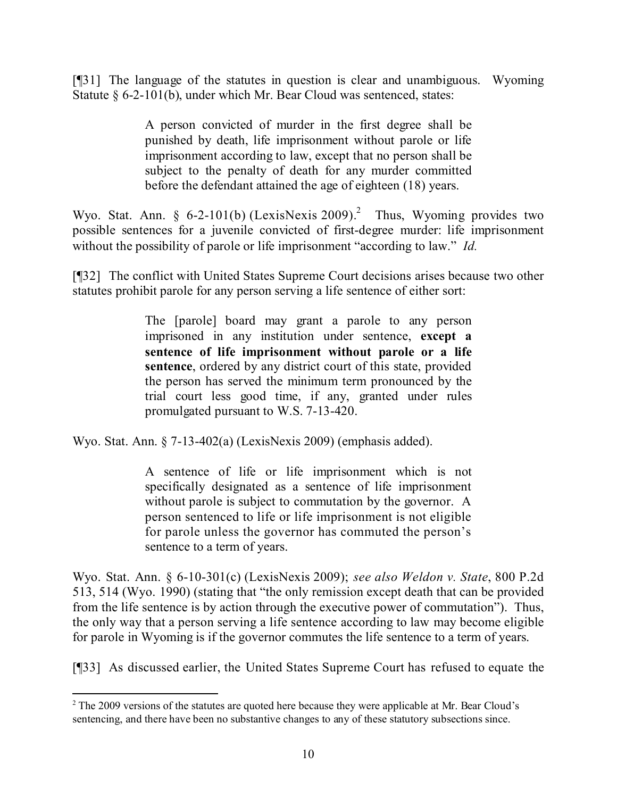[¶31] The language of the statutes in question is clear and unambiguous. Wyoming Statute § 6-2-101(b), under which Mr. Bear Cloud was sentenced, states:

> A person convicted of murder in the first degree shall be punished by death, life imprisonment without parole or life imprisonment according to law, except that no person shall be subject to the penalty of death for any murder committed before the defendant attained the age of eighteen (18) years.

Wyo. Stat. Ann. § 6-2-101(b) (LexisNexis 2009).<sup>2</sup> Thus, Wyoming provides two possible sentences for a juvenile convicted of first-degree murder: life imprisonment without the possibility of parole or life imprisonment "according to law." *Id.* 

[¶32] The conflict with United States Supreme Court decisions arises because two other statutes prohibit parole for any person serving a life sentence of either sort:

> The [parole] board may grant a parole to any person imprisoned in any institution under sentence, **except a sentence of life imprisonment without parole or a life sentence**, ordered by any district court of this state, provided the person has served the minimum term pronounced by the trial court less good time, if any, granted under rules promulgated pursuant to W.S. 7-13-420.

Wyo. Stat. Ann. § 7-13-402(a) (LexisNexis 2009) (emphasis added).

A sentence of life or life imprisonment which is not specifically designated as a sentence of life imprisonment without parole is subject to commutation by the governor. A person sentenced to life or life imprisonment is not eligible for parole unless the governor has commuted the person's sentence to a term of years.

Wyo. Stat. Ann. § 6-10-301(c) (LexisNexis 2009); *see also Weldon v. State*, 800 P.2d 513, 514 (Wyo. 1990) (stating that "the only remission except death that can be provided from the life sentence is by action through the executive power of commutation"). Thus, the only way that a person serving a life sentence according to law may become eligible for parole in Wyoming is if the governor commutes the life sentence to a term of years.

[¶33] As discussed earlier, the United States Supreme Court has refused to equate the

 $\overline{a}$ 

<sup>&</sup>lt;sup>2</sup> The 2009 versions of the statutes are quoted here because they were applicable at Mr. Bear Cloud's sentencing, and there have been no substantive changes to any of these statutory subsections since.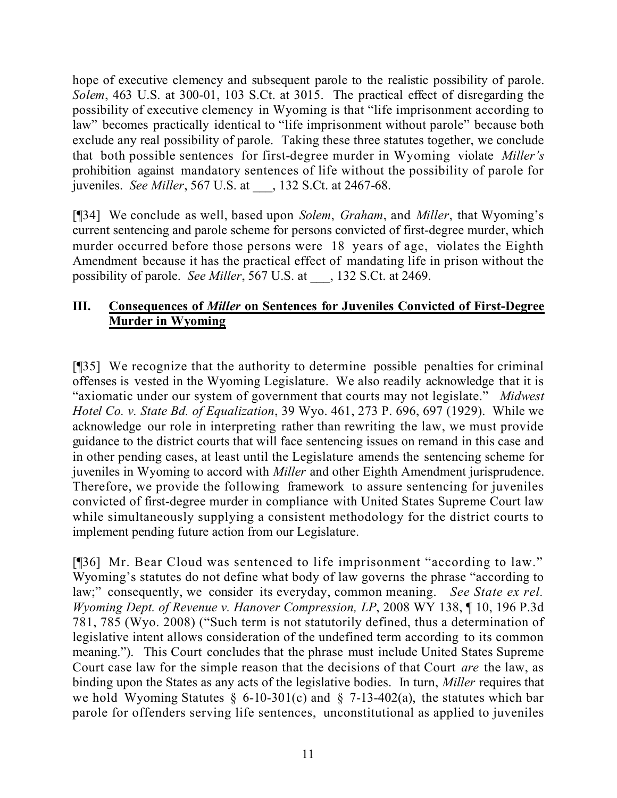hope of executive clemency and subsequent parole to the realistic possibility of parole. *Solem*, 463 U.S. at 300-01, 103 S.Ct. at 3015. The practical effect of disregarding the possibility of executive clemency in Wyoming is that "life imprisonment according to law" becomes practically identical to "life imprisonment without parole" because both exclude any real possibility of parole. Taking these three statutes together, we conclude that both possible sentences for first-degree murder in Wyoming violate *Miller's* prohibition against mandatory sentences of life without the possibility of parole for juveniles. *See Miller*, 567 U.S. at \_\_\_, 132 S.Ct. at 2467-68.

[¶34] We conclude as well, based upon *Solem*, *Graham*, and *Miller*, that Wyoming's current sentencing and parole scheme for persons convicted of first-degree murder, which murder occurred before those persons were 18 years of age, violates the Eighth Amendment because it has the practical effect of mandating life in prison without the possibility of parole. *See Miller*, 567 U.S. at \_\_\_, 132 S.Ct. at 2469.

# **III. Consequences of** *Miller* **on Sentences for Juveniles Convicted of First-Degree Murder in Wyoming**

[¶35] We recognize that the authority to determine possible penalties for criminal offenses is vested in the Wyoming Legislature. We also readily acknowledge that it is "axiomatic under our system of government that courts may not legislate." *Midwest Hotel Co. v. State Bd. of Equalization*, 39 Wyo. 461, 273 P. 696, 697 (1929). While we acknowledge our role in interpreting rather than rewriting the law, we must provide guidance to the district courts that will face sentencing issues on remand in this case and in other pending cases, at least until the Legislature amends the sentencing scheme for juveniles in Wyoming to accord with *Miller* and other Eighth Amendment jurisprudence. Therefore, we provide the following framework to assure sentencing for juveniles convicted of first-degree murder in compliance with United States Supreme Court law while simultaneously supplying a consistent methodology for the district courts to implement pending future action from our Legislature.

[¶36] Mr. Bear Cloud was sentenced to life imprisonment "according to law." Wyoming's statutes do not define what body of law governs the phrase "according to law;" consequently, we consider its everyday, common meaning. *See State ex rel. Wyoming Dept. of Revenue v. Hanover Compression, LP*, 2008 WY 138, ¶ 10, 196 P.3d 781, 785 (Wyo. 2008) ("Such term is not statutorily defined, thus a determination of legislative intent allows consideration of the undefined term according to its common meaning."). This Court concludes that the phrase must include United States Supreme Court case law for the simple reason that the decisions of that Court *are* the law, as binding upon the States as any acts of the legislative bodies. In turn, *Miller* requires that we hold Wyoming Statutes § 6-10-301(c) and § 7-13-402(a), the statutes which bar parole for offenders serving life sentences, unconstitutional as applied to juveniles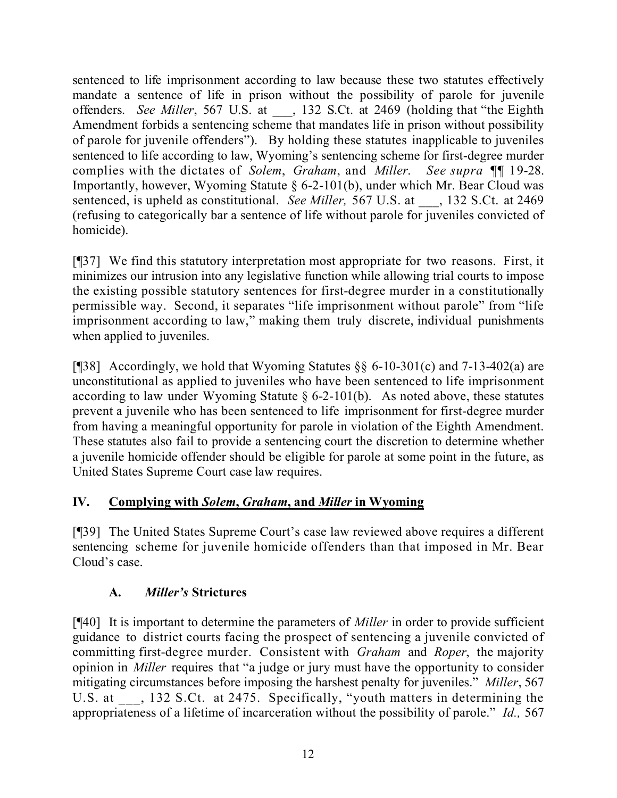sentenced to life imprisonment according to law because these two statutes effectively mandate a sentence of life in prison without the possibility of parole for juvenile offenders. *See Miller*, 567 U.S. at \_\_\_, 132 S.Ct. at 2469 (holding that "the Eighth Amendment forbids a sentencing scheme that mandates life in prison without possibility of parole for juvenile offenders"). By holding these statutes inapplicable to juveniles sentenced to life according to law, Wyoming's sentencing scheme for first-degree murder complies with the dictates of *Solem*, *Graham*, and *Miller*. *See supra* ¶¶ 19-28. Importantly, however, Wyoming Statute § 6-2-101(b), under which Mr. Bear Cloud was sentenced, is upheld as constitutional. *See Miller,* 567 U.S. at \_\_\_, 132 S.Ct. at 2469 (refusing to categorically bar a sentence of life without parole for juveniles convicted of homicide).

[¶37] We find this statutory interpretation most appropriate for two reasons. First, it minimizes our intrusion into any legislative function while allowing trial courts to impose the existing possible statutory sentences for first-degree murder in a constitutionally permissible way. Second, it separates "life imprisonment without parole" from "life imprisonment according to law," making them truly discrete, individual punishments when applied to juveniles.

[¶38] Accordingly, we hold that Wyoming Statutes  $\S$ § 6-10-301(c) and 7-13-402(a) are unconstitutional as applied to juveniles who have been sentenced to life imprisonment according to law under Wyoming Statute  $\S$  6-2-101(b). As noted above, these statutes prevent a juvenile who has been sentenced to life imprisonment for first-degree murder from having a meaningful opportunity for parole in violation of the Eighth Amendment. These statutes also fail to provide a sentencing court the discretion to determine whether a juvenile homicide offender should be eligible for parole at some point in the future, as United States Supreme Court case law requires.

# **IV. Complying with** *Solem***,** *Graham***, and** *Miller* **in Wyoming**

[¶39] The United States Supreme Court's case law reviewed above requires a different sentencing scheme for juvenile homicide offenders than that imposed in Mr. Bear Cloud's case.

# **A.** *Miller's* **Strictures**

[¶40] It is important to determine the parameters of *Miller* in order to provide sufficient guidance to district courts facing the prospect of sentencing a juvenile convicted of committing first-degree murder. Consistent with *Graham* and *Roper*, the majority opinion in *Miller* requires that "a judge or jury must have the opportunity to consider mitigating circumstances before imposing the harshest penalty for juveniles." *Miller*, 567 U.S. at \_\_\_, 132 S.Ct. at 2475. Specifically, "youth matters in determining the appropriateness of a lifetime of incarceration without the possibility of parole." *Id.,* 567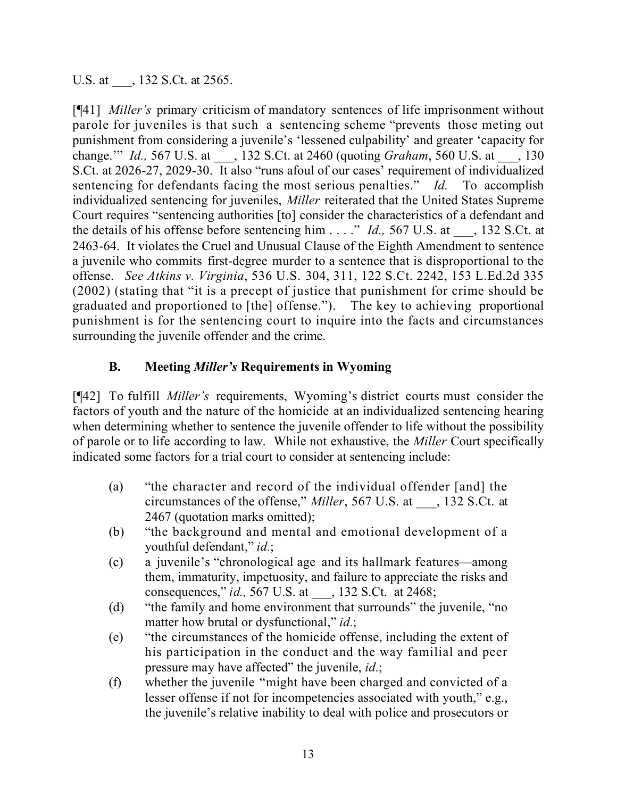U.S. at \_\_\_\_, 132 S.Ct. at 2565.

[¶41] *Miller's* primary criticism of mandatory sentences of life imprisonment without parole for juveniles is that such a sentencing scheme "prevents those meting out punishment from considering a juvenile's 'lessened culpability' and greater 'capacity for change.'" *Id.,* 567 U.S. at \_\_\_, 132 S.Ct. at 2460 (quoting *Graham*, 560 U.S. at \_\_\_, 130 S.Ct. at 2026-27, 2029-30. It also "runs afoul of our cases' requirement of individualized sentencing for defendants facing the most serious penalties." *Id.* To accomplish individualized sentencing for juveniles, *Miller* reiterated that the United States Supreme Court requires "sentencing authorities [to] consider the characteristics of a defendant and the details of his offense before sentencing him . . . ." *Id.*, 567 U.S. at \_\_\_, 132 S.Ct. at 2463-64. It violates the Cruel and Unusual Clause of the Eighth Amendment to sentence a juvenile who commits first-degree murder to a sentence that is disproportional to the offense. *See Atkins v. Virginia*, 536 U.S. 304, 311, 122 S.Ct. 2242, 153 L.Ed.2d 335 (2002) (stating that "it is a precept of justice that punishment for crime should be graduated and proportioned to [the] offense."). The key to achieving proportional punishment is for the sentencing court to inquire into the facts and circumstances surrounding the juvenile offender and the crime.

## **B. Meeting** *Miller's* **Requirements in Wyoming**

[¶42] To fulfill *Miller's* requirements, Wyoming's district courts must consider the factors of youth and the nature of the homicide at an individualized sentencing hearing when determining whether to sentence the juvenile offender to life without the possibility of parole or to life according to law. While not exhaustive, the *Miller* Court specifically indicated some factors for a trial court to consider at sentencing include:

- (a) "the character and record of the individual offender [and] the circumstances of the offense," *Miller*, 567 U.S. at \_\_\_, 132 S.Ct. at 2467 (quotation marks omitted);
- (b) "the background and mental and emotional development of a youthful defendant," *id.*;
- (c) a juvenile's "chronological age and its hallmark features—among them, immaturity, impetuosity, and failure to appreciate the risks and consequences," *id.,* 567 U.S. at \_\_\_, 132 S.Ct. at 2468;
- (d) "the family and home environment that surrounds" the juvenile, "no matter how brutal or dysfunctional," *id.*;
- (e) "the circumstances of the homicide offense, including the extent of his participation in the conduct and the way familial and peer pressure may have affected" the juvenile, *id.*;
- (f) whether the juvenile "might have been charged and convicted of a lesser offense if not for incompetencies associated with youth," e.g., the juvenile's relative inability to deal with police and prosecutors or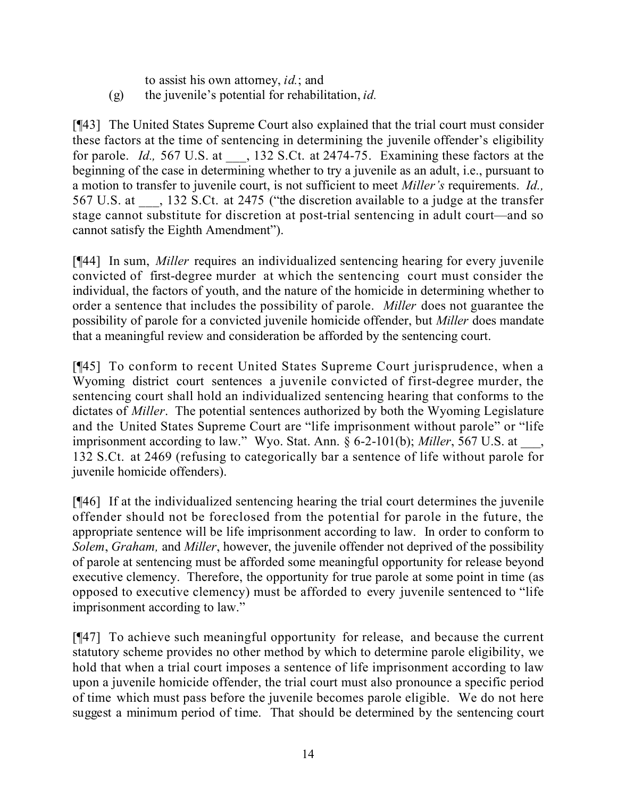to assist his own attorney, *id.*; and (g) the juvenile's potential for rehabilitation, *id.*

[¶43] The United States Supreme Court also explained that the trial court must consider these factors at the time of sentencing in determining the juvenile offender's eligibility for parole. *Id.*, 567 U.S. at \_\_\_, 132 S.Ct. at 2474-75. Examining these factors at the beginning of the case in determining whether to try a juvenile as an adult, i.e., pursuant to a motion to transfer to juvenile court, is not sufficient to meet *Miller's* requirements. *Id.,* 567 U.S. at \_\_\_, 132 S.Ct. at 2475 ("the discretion available to a judge at the transfer stage cannot substitute for discretion at post-trial sentencing in adult court—and so cannot satisfy the Eighth Amendment").

[¶44] In sum, *Miller* requires an individualized sentencing hearing for every juvenile convicted of first-degree murder at which the sentencing court must consider the individual, the factors of youth, and the nature of the homicide in determining whether to order a sentence that includes the possibility of parole. *Miller* does not guarantee the possibility of parole for a convicted juvenile homicide offender, but *Miller* does mandate that a meaningful review and consideration be afforded by the sentencing court.

[¶45] To conform to recent United States Supreme Court jurisprudence, when a Wyoming district court sentences a juvenile convicted of first-degree murder, the sentencing court shall hold an individualized sentencing hearing that conforms to the dictates of *Miller*. The potential sentences authorized by both the Wyoming Legislature and the United States Supreme Court are "life imprisonment without parole" or "life imprisonment according to law." Wyo. Stat. Ann. § 6-2-101(b); *Miller*, 567 U.S. at 132 S.Ct. at 2469 (refusing to categorically bar a sentence of life without parole for juvenile homicide offenders).

[¶46] If at the individualized sentencing hearing the trial court determines the juvenile offender should not be foreclosed from the potential for parole in the future, the appropriate sentence will be life imprisonment according to law. In order to conform to *Solem*, *Graham,* and *Miller*, however, the juvenile offender not deprived of the possibility of parole at sentencing must be afforded some meaningful opportunity for release beyond executive clemency. Therefore, the opportunity for true parole at some point in time (as opposed to executive clemency) must be afforded to every juvenile sentenced to "life imprisonment according to law."

[¶47] To achieve such meaningful opportunity for release, and because the current statutory scheme provides no other method by which to determine parole eligibility, we hold that when a trial court imposes a sentence of life imprisonment according to law upon a juvenile homicide offender, the trial court must also pronounce a specific period of time which must pass before the juvenile becomes parole eligible. We do not here suggest a minimum period of time. That should be determined by the sentencing court